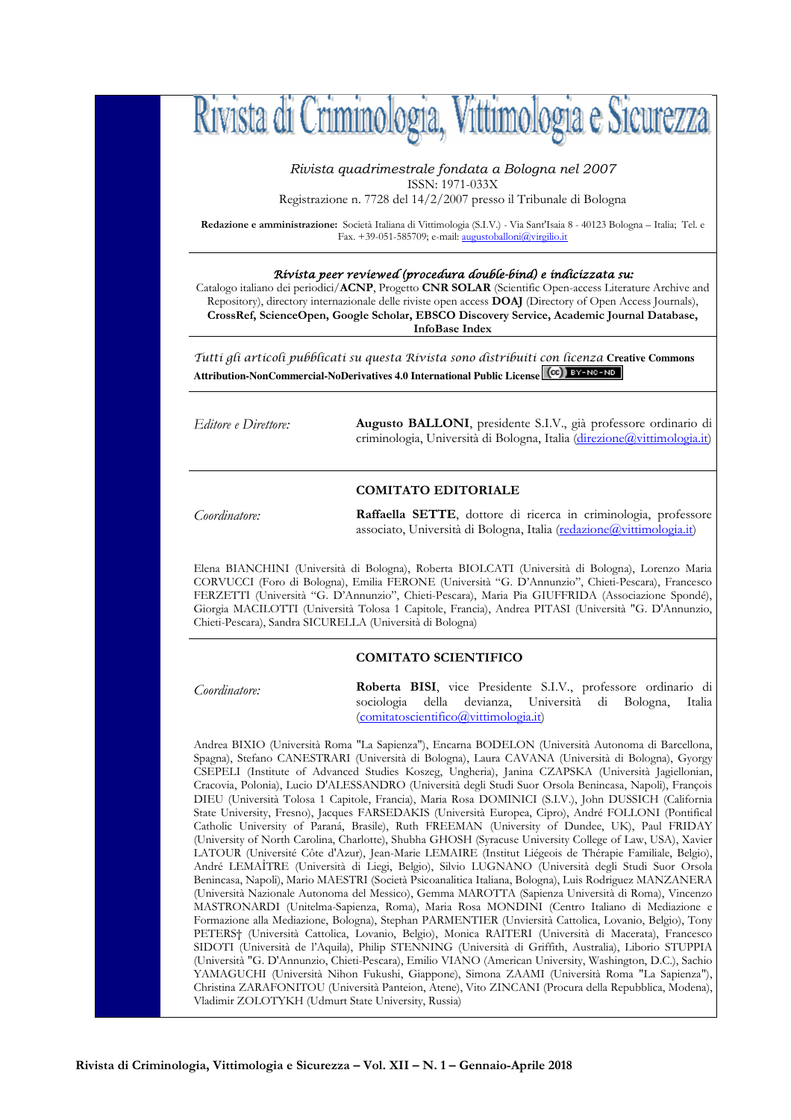

*Rivista quadrimestrale fondata a Bologna nel 2007*  ISSN: 1971-033X

Registrazione n. 7728 del 14/2/2007 presso il Tribunale di Bologna

**Redazione e amministrazione:** Società Italiana di Vittimologia (S.I.V.) - Via Sant'Isaia 8 - 40123 Bologna – Italia; Tel. e Fax. +39-051-585709; e-mail: augustoballoni@virgilio.it

#### Rivista peer reviewed (procedura double-bind) e indicizzata su:

Catalogo italiano dei periodici/**ACNP**, Progetto **CNR SOLAR** (Scientific Open-access Literature Archive and Repository), directory internazionale delle riviste open access **DOAJ** (Directory of Open Access Journals), **CrossRef, ScienceOpen, Google Scholar, EBSCO Discovery Service, Academic Journal Database, InfoBase Index**

Tutti gli articoli pubblicati su questa Rivista sono distribuiti con licenza **Creative Commons Attribution-NonCommercial-NoDerivatives 4.0 International Public License** 

*Editore e Direttore:* **Augusto BALLONI**, presidente S.I.V., già professore ordinario di criminologia, Università di Bologna, Italia (direzione@vittimologia.it)

## **COMITATO EDITORIALE**

*Coordinatore:* **Raffaella SETTE**, dottore di ricerca in criminologia, professore associato, Università di Bologna, Italia (redazione@vittimologia.it)

Elena BIANCHINI (Università di Bologna), Roberta BIOLCATI (Università di Bologna), Lorenzo Maria CORVUCCI (Foro di Bologna), Emilia FERONE (Università "G. D'Annunzio", Chieti-Pescara), Francesco FERZETTI (Università "G. D'Annunzio", Chieti-Pescara), Maria Pia GIUFFRIDA (Associazione Spondé), Giorgia MACILOTTI (Università Tolosa 1 Capitole, Francia), Andrea PITASI (Università "G. D'Annunzio, Chieti-Pescara), Sandra SICURELLA (Università di Bologna)

#### **COMITATO SCIENTIFICO**

*Coordinatore:* **Roberta BISI**, vice Presidente S.I.V., professore ordinario di sociologia della devianza, Università (comitatoscientifico@vittimologia.it)

Andrea BIXIO (Università Roma "La Sapienza"), Encarna BODELON (Università Autonoma di Barcellona, Spagna), Stefano CANESTRARI (Università di Bologna), Laura CAVANA (Università di Bologna), Gyorgy CSEPELI (Institute of Advanced Studies Koszeg, Ungheria), Janina CZAPSKA (Università Jagiellonian, Cracovia, Polonia), Lucio D'ALESSANDRO (Università degli Studi Suor Orsola Benincasa, Napoli), François DIEU (Università Tolosa 1 Capitole, Francia), Maria Rosa DOMINICI (S.I.V.), John DUSSICH (California State University, Fresno), Jacques FARSEDAKIS (Università Europea, Cipro), André FOLLONI (Pontifical Catholic University of Paraná, Brasile), Ruth FREEMAN (University of Dundee, UK), Paul FRIDAY (University of North Carolina, Charlotte), Shubha GHOSH (Syracuse University College of Law, USA), Xavier LATOUR (Université Côte d'Azur), Jean-Marie LEMAIRE (Institut Liégeois de Thérapie Familiale, Belgio), André LEMAÎTRE (Università di Liegi, Belgio), Silvio LUGNANO (Università degli Studi Suor Orsola Benincasa, Napoli), Mario MAESTRI (Società Psicoanalitica Italiana, Bologna), Luis Rodriguez MANZANERA (Università Nazionale Autonoma del Messico), Gemma MAROTTA (Sapienza Università di Roma), Vincenzo MASTRONARDI (Unitelma-Sapienza, Roma), Maria Rosa MONDINI (Centro Italiano di Mediazione e Formazione alla Mediazione, Bologna), Stephan PARMENTIER (Unviersità Cattolica, Lovanio, Belgio), Tony PETERS† (Università Cattolica, Lovanio, Belgio), Monica RAITERI (Università di Macerata), Francesco SIDOTI (Università de l'Aquila), Philip STENNING (Università di Griffith, Australia), Liborio STUPPIA (Università "G. D'Annunzio, Chieti-Pescara), Emilio VIANO (American University, Washington, D.C.), Sachio YAMAGUCHI (Università Nihon Fukushi, Giappone), Simona ZAAMI (Università Roma "La Sapienza"), Christina ZARAFONITOU (Università Panteion, Atene), Vito ZINCANI (Procura della Repubblica, Modena), Vladimir ZOLOTYKH (Udmurt State University, Russia)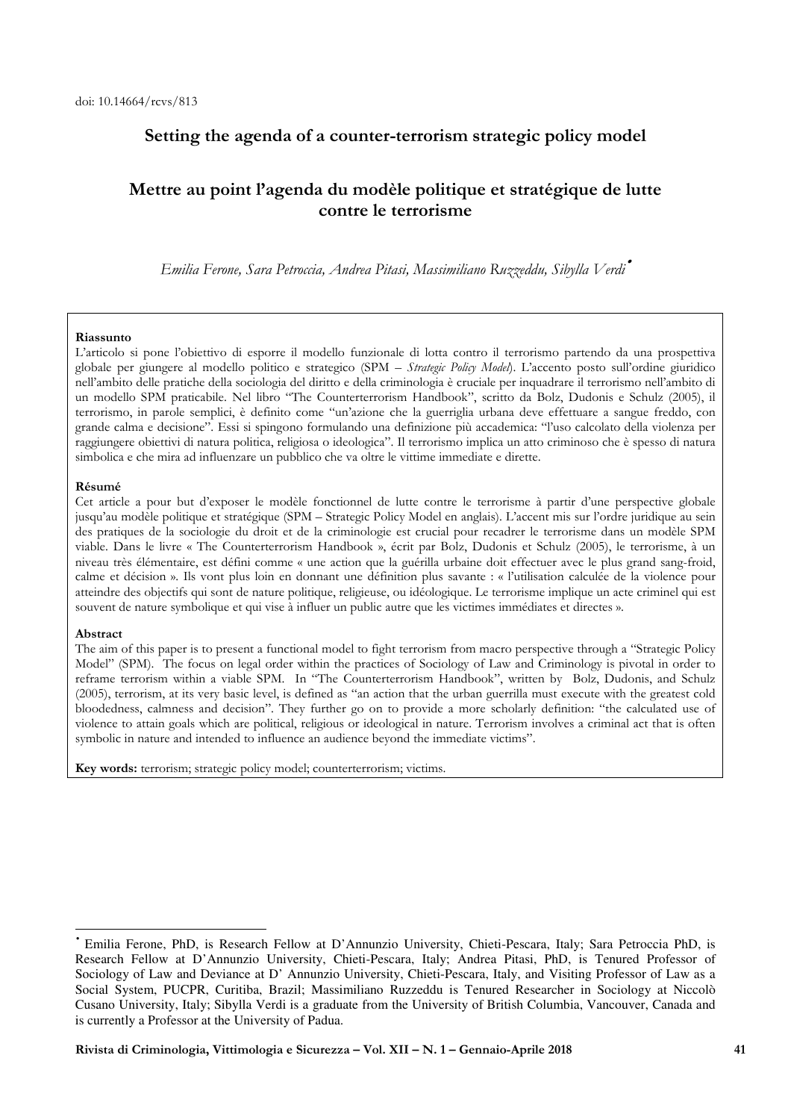## **Setting the agenda of a counter-terrorism strategic policy model**

# **Mettre au point l'agenda du modèle politique et stratégique de lutte contre le terrorisme**

*Emilia Ferone, Sara Petroccia, Andrea Pitasi, Massimiliano Ruzzeddu, Sibylla Verdi*•

### **Riassunto**

L'articolo si pone l'obiettivo di esporre il modello funzionale di lotta contro il terrorismo partendo da una prospettiva globale per giungere al modello politico e strategico (SPM – *Strategic Policy Model*). L'accento posto sull'ordine giuridico nell'ambito delle pratiche della sociologia del diritto e della criminologia è cruciale per inquadrare il terrorismo nell'ambito di un modello SPM praticabile. Nel libro "The Counterterrorism Handbook", scritto da Bolz, Dudonis e Schulz (2005), il terrorismo, in parole semplici, è definito come "un'azione che la guerriglia urbana deve effettuare a sangue freddo, con grande calma e decisione". Essi si spingono formulando una definizione più accademica: "l'uso calcolato della violenza per raggiungere obiettivi di natura politica, religiosa o ideologica". Il terrorismo implica un atto criminoso che è spesso di natura simbolica e che mira ad influenzare un pubblico che va oltre le vittime immediate e dirette.

### **Résumé**

Cet article a pour but d'exposer le modèle fonctionnel de lutte contre le terrorisme à partir d'une perspective globale jusqu'au modèle politique et stratégique (SPM – Strategic Policy Model en anglais). L'accent mis sur l'ordre juridique au sein des pratiques de la sociologie du droit et de la criminologie est crucial pour recadrer le terrorisme dans un modèle SPM viable. Dans le livre « The Counterterrorism Handbook », écrit par Bolz, Dudonis et Schulz (2005), le terrorisme, à un niveau très élémentaire, est défini comme « une action que la guérilla urbaine doit effectuer avec le plus grand sang-froid, calme et décision ». Ils vont plus loin en donnant une définition plus savante : « l'utilisation calculée de la violence pour atteindre des objectifs qui sont de nature politique, religieuse, ou idéologique. Le terrorisme implique un acte criminel qui est souvent de nature symbolique et qui vise à influer un public autre que les victimes immédiates et directes ».

#### **Abstract**

 $\overline{a}$ 

The aim of this paper is to present a functional model to fight terrorism from macro perspective through a "Strategic Policy Model" (SPM). The focus on legal order within the practices of Sociology of Law and Criminology is pivotal in order to reframe terrorism within a viable SPM. In "The Counterterrorism Handbook", written by Bolz, Dudonis, and Schulz (2005), terrorism, at its very basic level, is defined as "an action that the urban guerrilla must execute with the greatest cold bloodedness, calmness and decision". They further go on to provide a more scholarly definition: "the calculated use of violence to attain goals which are political, religious or ideological in nature. Terrorism involves a criminal act that is often symbolic in nature and intended to influence an audience beyond the immediate victims".

**Key words:** terrorism; strategic policy model; counterterrorism; victims.

<sup>•</sup> Emilia Ferone, PhD, is Research Fellow at D'Annunzio University, Chieti-Pescara, Italy; Sara Petroccia PhD, is Research Fellow at D'Annunzio University, Chieti-Pescara, Italy; Andrea Pitasi, PhD, is Tenured Professor of Sociology of Law and Deviance at D' Annunzio University, Chieti-Pescara, Italy, and Visiting Professor of Law as a Social System, PUCPR, Curitiba, Brazil; Massimiliano Ruzzeddu is Tenured Researcher in Sociology at Niccolò Cusano University, Italy; Sibylla Verdi is a graduate from the University of British Columbia, Vancouver, Canada and is currently a Professor at the University of Padua.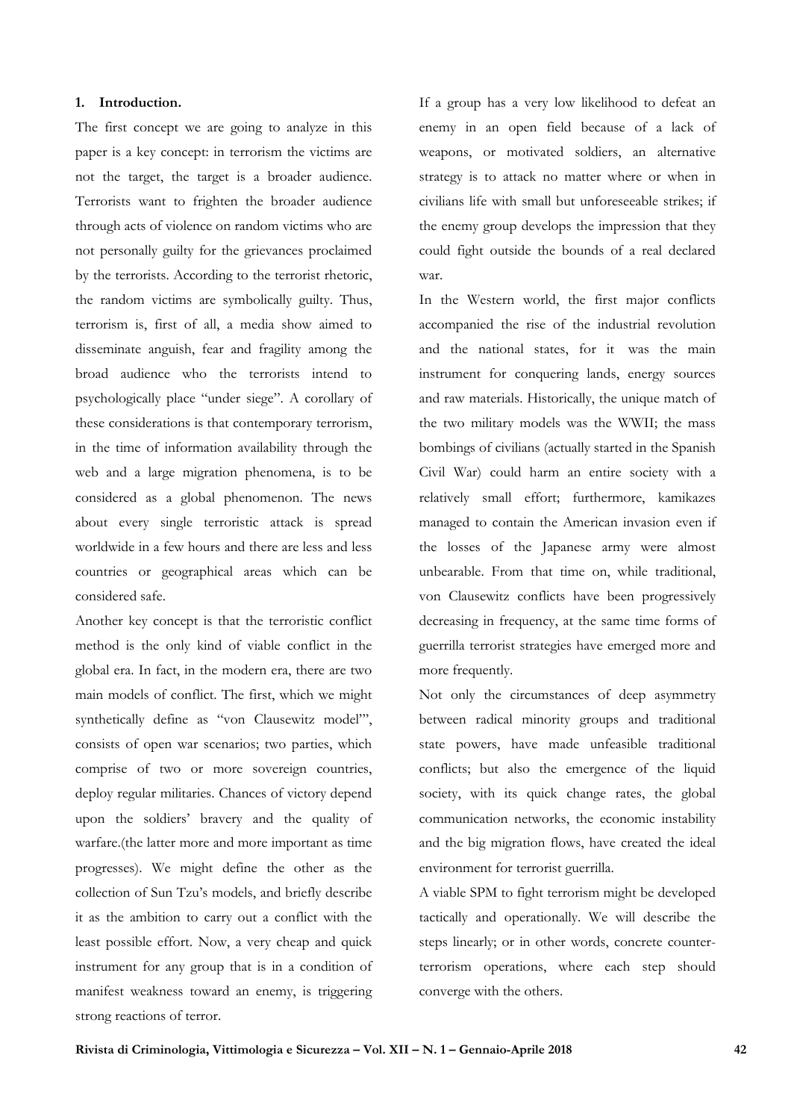## **1. Introduction.**

The first concept we are going to analyze in this paper is a key concept: in terrorism the victims are not the target, the target is a broader audience. Terrorists want to frighten the broader audience through acts of violence on random victims who are not personally guilty for the grievances proclaimed by the terrorists. According to the terrorist rhetoric, the random victims are symbolically guilty. Thus, terrorism is, first of all, a media show aimed to disseminate anguish, fear and fragility among the broad audience who the terrorists intend to psychologically place "under siege". A corollary of these considerations is that contemporary terrorism, in the time of information availability through the web and a large migration phenomena, is to be considered as a global phenomenon. The news about every single terroristic attack is spread worldwide in a few hours and there are less and less countries or geographical areas which can be considered safe.

Another key concept is that the terroristic conflict method is the only kind of viable conflict in the global era. In fact, in the modern era, there are two main models of conflict. The first, which we might synthetically define as "von Clausewitz model"', consists of open war scenarios; two parties, which comprise of two or more sovereign countries, deploy regular militaries. Chances of victory depend upon the soldiers' bravery and the quality of warfare.(the latter more and more important as time progresses). We might define the other as the collection of Sun Tzu's models, and briefly describe it as the ambition to carry out a conflict with the least possible effort. Now, a very cheap and quick instrument for any group that is in a condition of manifest weakness toward an enemy, is triggering strong reactions of terror.

If a group has a very low likelihood to defeat an enemy in an open field because of a lack of weapons, or motivated soldiers, an alternative strategy is to attack no matter where or when in civilians life with small but unforeseeable strikes; if the enemy group develops the impression that they could fight outside the bounds of a real declared war.

In the Western world, the first major conflicts accompanied the rise of the industrial revolution and the national states, for it was the main instrument for conquering lands, energy sources and raw materials. Historically, the unique match of the two military models was the WWII; the mass bombings of civilians (actually started in the Spanish Civil War) could harm an entire society with a relatively small effort; furthermore, kamikazes managed to contain the American invasion even if the losses of the Japanese army were almost unbearable. From that time on, while traditional, von Clausewitz conflicts have been progressively decreasing in frequency, at the same time forms of guerrilla terrorist strategies have emerged more and more frequently.

Not only the circumstances of deep asymmetry between radical minority groups and traditional state powers, have made unfeasible traditional conflicts; but also the emergence of the liquid society, with its quick change rates, the global communication networks, the economic instability and the big migration flows, have created the ideal environment for terrorist guerrilla.

A viable SPM to fight terrorism might be developed tactically and operationally. We will describe the steps linearly; or in other words, concrete counterterrorism operations, where each step should converge with the others.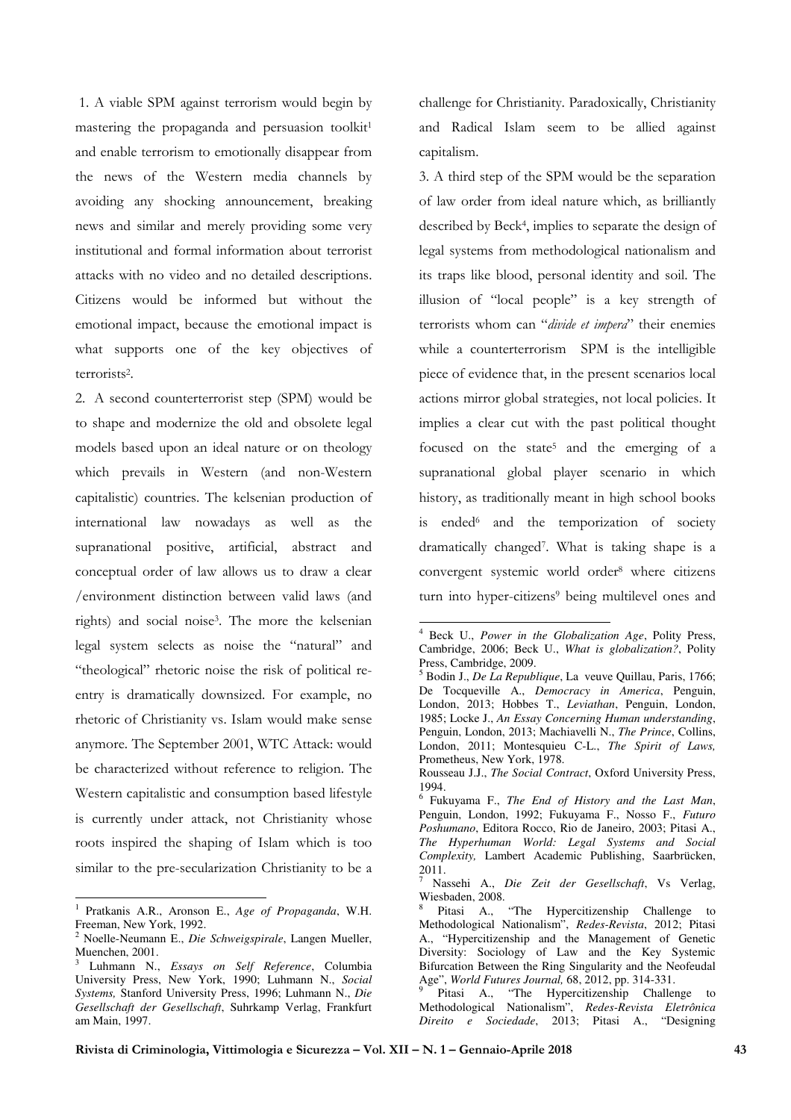1. A viable SPM against terrorism would begin by mastering the propaganda and persuasion toolkit<sup>1</sup> and enable terrorism to emotionally disappear from the news of the Western media channels by avoiding any shocking announcement, breaking news and similar and merely providing some very institutional and formal information about terrorist attacks with no video and no detailed descriptions. Citizens would be informed but without the emotional impact, because the emotional impact is what supports one of the key objectives of terrorists<sup>2</sup> .

2. A second counterterrorist step (SPM) would be to shape and modernize the old and obsolete legal models based upon an ideal nature or on theology which prevails in Western (and non-Western capitalistic) countries. The kelsenian production of international law nowadays as well as the supranational positive, artificial, abstract and conceptual order of law allows us to draw a clear /environment distinction between valid laws (and rights) and social noise<sup>3</sup> . The more the kelsenian legal system selects as noise the "natural" and "theological" rhetoric noise the risk of political reentry is dramatically downsized. For example, no rhetoric of Christianity vs. Islam would make sense anymore. The September 2001, WTC Attack: would be characterized without reference to religion. The Western capitalistic and consumption based lifestyle is currently under attack, not Christianity whose roots inspired the shaping of Islam which is too similar to the pre-secularization Christianity to be a

challenge for Christianity. Paradoxically, Christianity and Radical Islam seem to be allied against capitalism.

3. A third step of the SPM would be the separation of law order from ideal nature which, as brilliantly described by Beck<sup>4</sup> , implies to separate the design of legal systems from methodological nationalism and its traps like blood, personal identity and soil. The illusion of "local people" is a key strength of terrorists whom can "*divide et impera*" their enemies while a counterterrorism SPM is the intelligible piece of evidence that, in the present scenarios local actions mirror global strategies, not local policies. It implies a clear cut with the past political thought focused on the state<sup>5</sup> and the emerging of a supranational global player scenario in which history, as traditionally meant in high school books is ended<sup>6</sup> and the temporization of society dramatically changed<sup>7</sup> . What is taking shape is a convergent systemic world order<sup>8</sup> where citizens turn into hyper-citizens<sup>9</sup> being multilevel ones and

 1 Pratkanis A.R., Aronson E., *Age of Propaganda*, W.H. Freeman, New York, 1992.

<sup>2</sup> Noelle-Neumann E., *Die Schweigspirale*, Langen Mueller, Muenchen, 2001.

<sup>3</sup> Luhmann N., *Essays on Self Reference*, Columbia University Press, New York, 1990; Luhmann N., *Social Systems,* Stanford University Press, 1996; Luhmann N., *Die Gesellschaft der Gesellschaft*, Suhrkamp Verlag, Frankfurt am Main, 1997.

 4 Beck U., *Power in the Globalization Age*, Polity Press, Cambridge, 2006; Beck U., *What is globalization?*, Polity Press, Cambridge, 2009.

<sup>5</sup> Bodin J., *De La Republique*, La veuve Quillau, Paris, 1766; De Tocqueville A., *Democracy in America*, Penguin, London, 2013; Hobbes T., *Leviathan*, Penguin, London, 1985; Locke J., *An Essay Concerning Human understanding*, Penguin, London, 2013; Machiavelli N., *The Prince*, Collins, London, 2011; Montesquieu C-L., *The Spirit of Laws,*  Prometheus, New York, 1978.

Rousseau J.J., *The Social Contract*, Oxford University Press, 1994.

<sup>6</sup> Fukuyama F., *The End of History and the Last Man*, Penguin, London, 1992; Fukuyama F., Nosso F., *Futuro Poshumano*, Editora Rocco, Rio de Janeiro, 2003; Pitasi A., *The Hyperhuman World: Legal Systems and Social Complexity,* Lambert Academic Publishing, Saarbrücken, 2011.

<sup>7</sup> Nassehi A., *Die Zeit der Gesellschaft*, Vs Verlag, Wiesbaden, 2008.<br><sup>8</sup> Ditori A

Pitasi A., "The Hypercitizenship Challenge to Methodological Nationalism", *Redes-Revista*, 2012; Pitasi A., "Hypercitizenship and the Management of Genetic Diversity: Sociology of Law and the Key Systemic Bifurcation Between the Ring Singularity and the Neofeudal Age", *World Futures Journal,* 68, 2012, pp. 314-331.

<sup>&</sup>lt;sup>9</sup> Pitasi A., "The Hypercitizenship Challenge to Methodological Nationalism", *Redes-Revista Eletrônica Direito e Sociedade*, 2013; Pitasi A., "Designing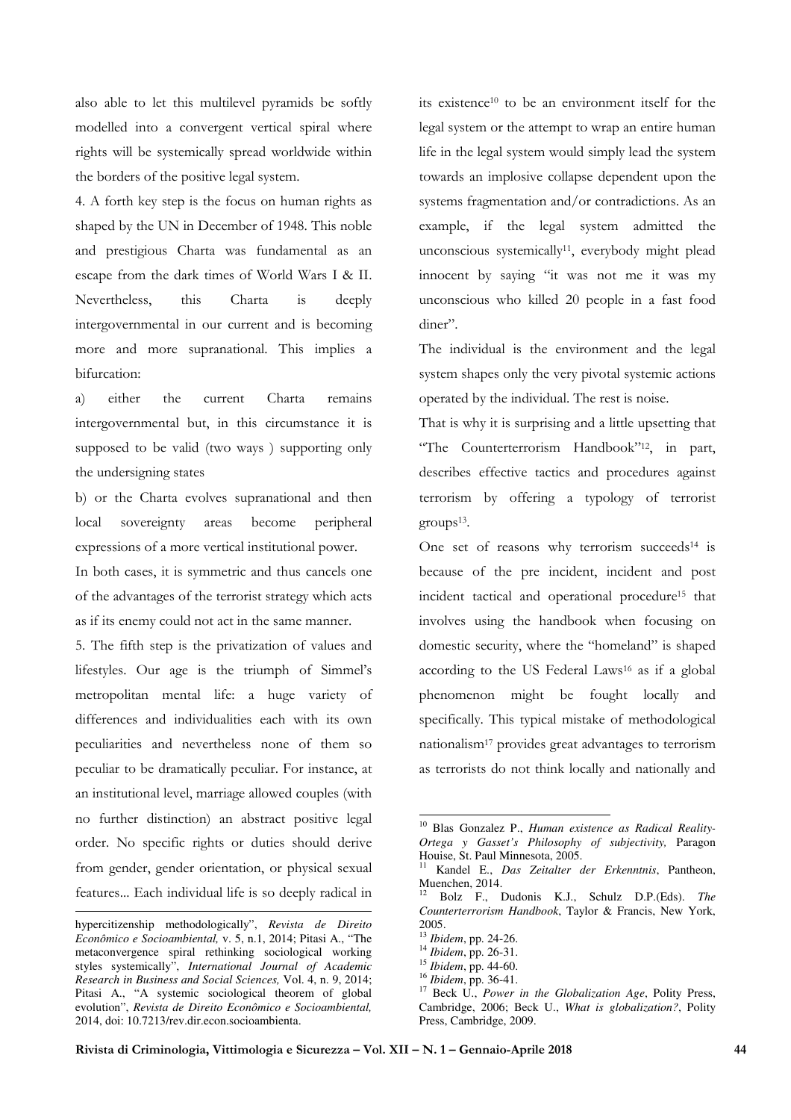also able to let this multilevel pyramids be softly modelled into a convergent vertical spiral where rights will be systemically spread worldwide within the borders of the positive legal system.

4. A forth key step is the focus on human rights as shaped by the UN in December of 1948. This noble and prestigious Charta was fundamental as an escape from the dark times of World Wars I & II. Nevertheless, this Charta is deeply intergovernmental in our current and is becoming more and more supranational. This implies a bifurcation:

a) either the current Charta remains intergovernmental but, in this circumstance it is supposed to be valid (two ways ) supporting only the undersigning states

b) or the Charta evolves supranational and then local sovereignty areas become peripheral expressions of a more vertical institutional power.

In both cases, it is symmetric and thus cancels one of the advantages of the terrorist strategy which acts as if its enemy could not act in the same manner.

5. The fifth step is the privatization of values and lifestyles. Our age is the triumph of Simmel's metropolitan mental life: a huge variety of differences and individualities each with its own peculiarities and nevertheless none of them so peculiar to be dramatically peculiar. For instance, at an institutional level, marriage allowed couples (with no further distinction) an abstract positive legal order. No specific rights or duties should derive from gender, gender orientation, or physical sexual features... Each individual life is so deeply radical in

 $\overline{a}$ 

its existence10 to be an environment itself for the legal system or the attempt to wrap an entire human life in the legal system would simply lead the system towards an implosive collapse dependent upon the systems fragmentation and/or contradictions. As an example, if the legal system admitted the unconscious systemically<sup>11</sup>, everybody might plead innocent by saying "it was not me it was my unconscious who killed 20 people in a fast food diner".

The individual is the environment and the legal system shapes only the very pivotal systemic actions operated by the individual. The rest is noise.

That is why it is surprising and a little upsetting that "The Counterterrorism Handbook"12, in part, describes effective tactics and procedures against terrorism by offering a typology of terrorist groups<sup>13</sup> .

One set of reasons why terrorism succeeds<sup>14</sup> is because of the pre incident, incident and post incident tactical and operational procedure15 that involves using the handbook when focusing on domestic security, where the "homeland" is shaped according to the US Federal Laws16 as if a global phenomenon might be fought locally and specifically. This typical mistake of methodological nationalism17 provides great advantages to terrorism as terrorists do not think locally and nationally and

-

hypercitizenship methodologically", *Revista de Direito Econômico e Socioambiental,* v. 5, n.1, 2014; Pitasi A., "The metaconvergence spiral rethinking sociological working styles systemically", *International Journal of Academic Research in Business and Social Sciences,* Vol. 4, n. 9, 2014; Pitasi A., "A systemic sociological theorem of global evolution", *Revista de Direito Econômico e Socioambiental,*  2014, doi: 10.7213/rev.dir.econ.socioambienta.

<sup>10</sup> Blas Gonzalez P., *Human existence as Radical Reality-Ortega y Gasset's Philosophy of subjectivity,* Paragon Houise, St. Paul Minnesota, 2005.

<sup>11</sup> Kandel E., *Das Zeitalter der Erkenntnis*, Pantheon, Muenchen, 2014.

<sup>12</sup> Bolz F., Dudonis K.J., Schulz D.P.(Eds). *The Counterterrorism Handbook*, Taylor & Francis, New York, 2005.

<sup>13</sup> *Ibidem*, pp. 24-26.

<sup>14</sup> *Ibidem*, pp. 26-31.

<sup>15</sup> *Ibidem*, pp. 44-60.

<sup>16</sup> *Ibidem*, pp. 36-41.

<sup>17</sup> Beck U., *Power in the Globalization Age*, Polity Press, Cambridge, 2006; Beck U., *What is globalization?*, Polity Press, Cambridge, 2009.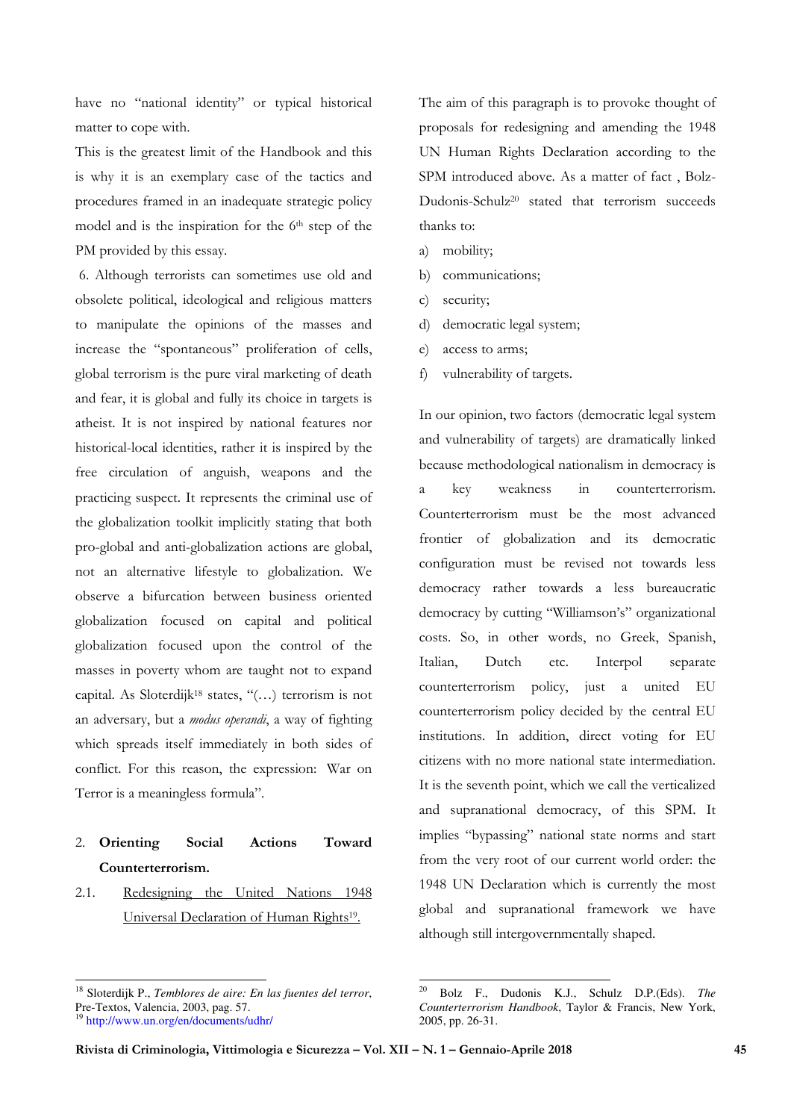have no "national identity" or typical historical matter to cope with.

This is the greatest limit of the Handbook and this is why it is an exemplary case of the tactics and procedures framed in an inadequate strategic policy model and is the inspiration for the  $6<sup>th</sup>$  step of the PM provided by this essay.

 6. Although terrorists can sometimes use old and obsolete political, ideological and religious matters to manipulate the opinions of the masses and increase the "spontaneous" proliferation of cells, global terrorism is the pure viral marketing of death and fear, it is global and fully its choice in targets is atheist. It is not inspired by national features nor historical-local identities, rather it is inspired by the free circulation of anguish, weapons and the practicing suspect. It represents the criminal use of the globalization toolkit implicitly stating that both pro-global and anti-globalization actions are global, not an alternative lifestyle to globalization. We observe a bifurcation between business oriented globalization focused on capital and political globalization focused upon the control of the masses in poverty whom are taught not to expand capital. As Sloterdijk18 states, "(…) terrorism is not an adversary, but a *modus operandi*, a way of fighting which spreads itself immediately in both sides of conflict. For this reason, the expression: War on Terror is a meaningless formula".

# 2. **Orienting Social Actions Toward Counterterrorism.**

2.1. Redesigning the United Nations 1948 Universal Declaration of Human Rights<sup>19</sup>.

 $\overline{a}$ 

The aim of this paragraph is to provoke thought of proposals for redesigning and amending the 1948 UN Human Rights Declaration according to the SPM introduced above. As a matter of fact , Bolz-Dudonis-Schulz20 stated that terrorism succeeds thanks to:

- a) mobility;
- b) communications;
- c) security;
- d) democratic legal system;
- e) access to arms;
- f) vulnerability of targets.

In our opinion, two factors (democratic legal system and vulnerability of targets) are dramatically linked because methodological nationalism in democracy is a key weakness in counterterrorism. Counterterrorism must be the most advanced frontier of globalization and its democratic configuration must be revised not towards less democracy rather towards a less bureaucratic democracy by cutting "Williamson's" organizational costs. So, in other words, no Greek, Spanish, Italian, Dutch etc. Interpol separate counterterrorism policy, just a united EU counterterrorism policy decided by the central EU institutions. In addition, direct voting for EU citizens with no more national state intermediation. It is the seventh point, which we call the verticalized and supranational democracy, of this SPM. It implies "bypassing" national state norms and start from the very root of our current world order: the 1948 UN Declaration which is currently the most global and supranational framework we have although still intergovernmentally shaped.

-

<sup>18</sup> Sloterdijk P., *Temblores de aire: En las fuentes del terror*, Pre-Textos, Valencia, 2003, pag. 57. <sup>19</sup> http://www.un.org/en/documents/udhr/

<sup>20</sup> Bolz F., Dudonis K.J., Schulz D.P.(Eds). *The Counterterrorism Handbook*, Taylor & Francis, New York, 2005, pp. 26-31.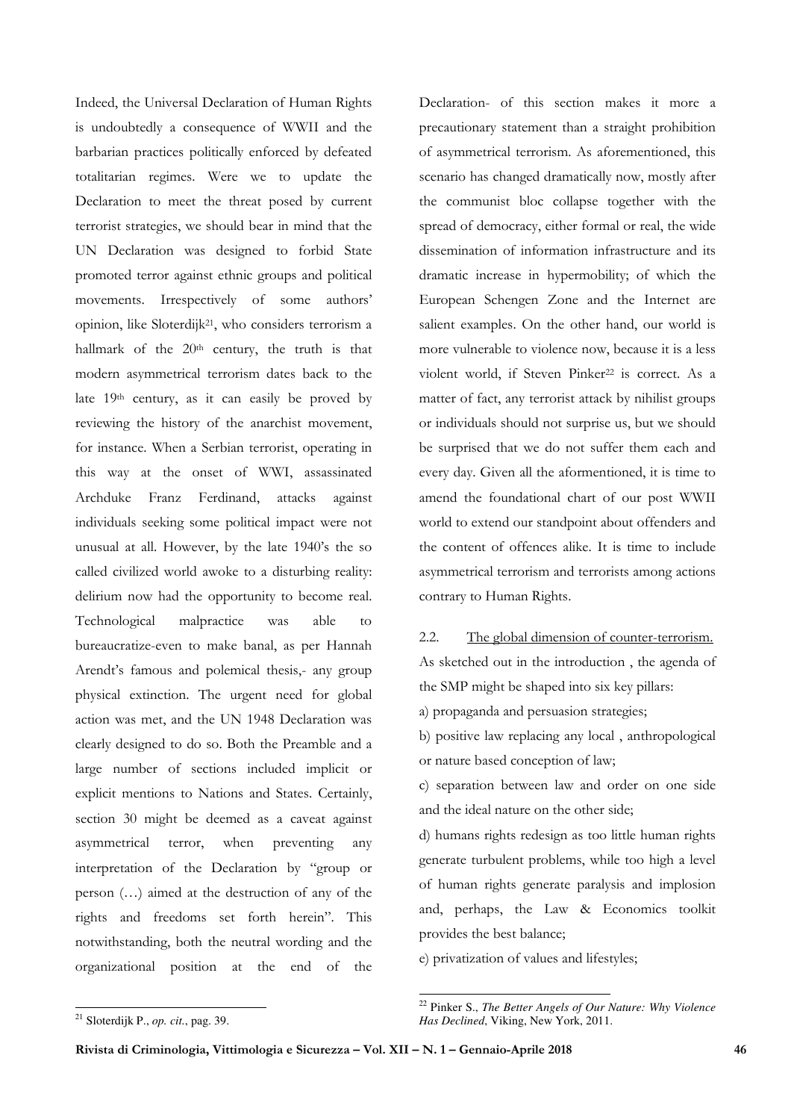Indeed, the Universal Declaration of Human Rights is undoubtedly a consequence of WWII and the barbarian practices politically enforced by defeated totalitarian regimes. Were we to update the Declaration to meet the threat posed by current terrorist strategies, we should bear in mind that the UN Declaration was designed to forbid State promoted terror against ethnic groups and political movements. Irrespectively of some authors' opinion, like Sloterdijk21, who considers terrorism a hallmark of the 20<sup>th</sup> century, the truth is that modern asymmetrical terrorism dates back to the late 19th century, as it can easily be proved by reviewing the history of the anarchist movement, for instance. When a Serbian terrorist, operating in this way at the onset of WWI, assassinated Archduke Franz Ferdinand, attacks against individuals seeking some political impact were not unusual at all. However, by the late 1940's the so called civilized world awoke to a disturbing reality: delirium now had the opportunity to become real. Technological malpractice was able to bureaucratize-even to make banal, as per Hannah Arendt's famous and polemical thesis,- any group physical extinction. The urgent need for global action was met, and the UN 1948 Declaration was clearly designed to do so. Both the Preamble and a large number of sections included implicit or explicit mentions to Nations and States. Certainly, section 30 might be deemed as a caveat against asymmetrical terror, when preventing any interpretation of the Declaration by "group or person (…) aimed at the destruction of any of the rights and freedoms set forth herein". This notwithstanding, both the neutral wording and the organizational position at the end of the

Declaration- of this section makes it more a precautionary statement than a straight prohibition of asymmetrical terrorism. As aforementioned, this scenario has changed dramatically now, mostly after the communist bloc collapse together with the spread of democracy, either formal or real, the wide dissemination of information infrastructure and its dramatic increase in hypermobility; of which the European Schengen Zone and the Internet are salient examples. On the other hand, our world is more vulnerable to violence now, because it is a less violent world, if Steven Pinker<sup>22</sup> is correct. As a matter of fact, any terrorist attack by nihilist groups or individuals should not surprise us, but we should be surprised that we do not suffer them each and every day. Given all the aformentioned, it is time to amend the foundational chart of our post WWII world to extend our standpoint about offenders and the content of offences alike. It is time to include asymmetrical terrorism and terrorists among actions contrary to Human Rights.

2.2. The global dimension of counter-terrorism. As sketched out in the introduction , the agenda of the SMP might be shaped into six key pillars:

a) propaganda and persuasion strategies;

b) positive law replacing any local , anthropological or nature based conception of law;

c) separation between law and order on one side and the ideal nature on the other side;

d) humans rights redesign as too little human rights generate turbulent problems, while too high a level of human rights generate paralysis and implosion and, perhaps, the Law & Economics toolkit provides the best balance;

e) privatization of values and lifestyles;

 $\overline{a}$ <sup>21</sup> Sloterdijk P., *op. cit.*, pag. 39.

<sup>-</sup><sup>22</sup> Pinker S., *The Better Angels of Our Nature: Why Violence Has Declined*, Viking, New York, 2011.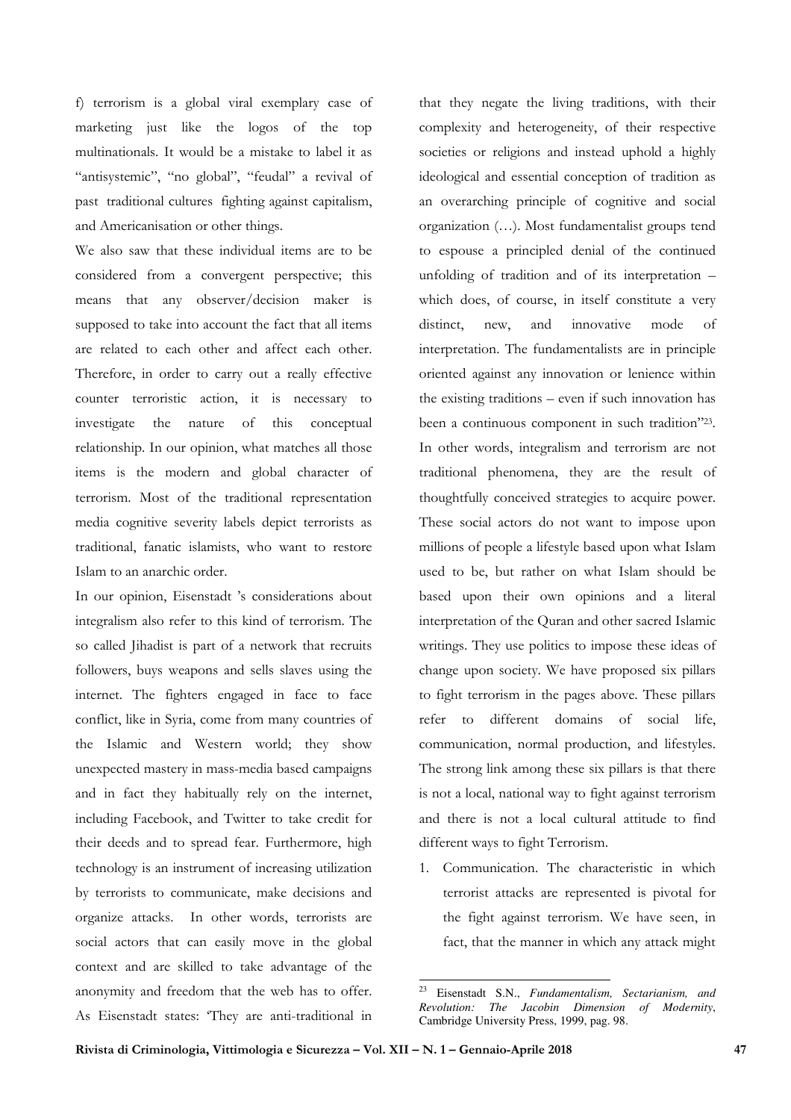f) terrorism is a global viral exemplary case of marketing just like the logos of the top multinationals. It would be a mistake to label it as "antisystemic", "no global", "feudal" a revival of past traditional cultures fighting against capitalism, and Americanisation or other things.

We also saw that these individual items are to be considered from a convergent perspective; this means that any observer/decision maker is supposed to take into account the fact that all items are related to each other and affect each other. Therefore, in order to carry out a really effective counter terroristic action, it is necessary to investigate the nature of this conceptual relationship. In our opinion, what matches all those items is the modern and global character of terrorism. Most of the traditional representation media cognitive severity labels depict terrorists as traditional, fanatic islamists, who want to restore Islam to an anarchic order.

In our opinion, Eisenstadt 's considerations about integralism also refer to this kind of terrorism. The so called Jihadist is part of a network that recruits followers, buys weapons and sells slaves using the internet. The fighters engaged in face to face conflict, like in Syria, come from many countries of the Islamic and Western world; they show unexpected mastery in mass-media based campaigns and in fact they habitually rely on the internet, including Facebook, and Twitter to take credit for their deeds and to spread fear. Furthermore, high technology is an instrument of increasing utilization by terrorists to communicate, make decisions and organize attacks. In other words, terrorists are social actors that can easily move in the global context and are skilled to take advantage of the anonymity and freedom that the web has to offer. As Eisenstadt states: 'They are anti-traditional in

that they negate the living traditions, with their complexity and heterogeneity, of their respective societies or religions and instead uphold a highly ideological and essential conception of tradition as an overarching principle of cognitive and social organization (…). Most fundamentalist groups tend to espouse a principled denial of the continued unfolding of tradition and of its interpretation – which does, of course, in itself constitute a very distinct, new, and innovative mode of interpretation. The fundamentalists are in principle oriented against any innovation or lenience within the existing traditions – even if such innovation has been a continuous component in such tradition"<sup>23</sup>. In other words, integralism and terrorism are not traditional phenomena, they are the result of thoughtfully conceived strategies to acquire power. These social actors do not want to impose upon millions of people a lifestyle based upon what Islam used to be, but rather on what Islam should be based upon their own opinions and a literal interpretation of the Quran and other sacred Islamic writings. They use politics to impose these ideas of change upon society. We have proposed six pillars to fight terrorism in the pages above. These pillars refer to different domains of social life, communication, normal production, and lifestyles. The strong link among these six pillars is that there is not a local, national way to fight against terrorism and there is not a local cultural attitude to find different ways to fight Terrorism.

1. Communication. The characteristic in which terrorist attacks are represented is pivotal for the fight against terrorism. We have seen, in fact, that the manner in which any attack might

<sup>23</sup> <sup>23</sup> Eisenstadt S.N., *Fundamentalism, Sectarianism, and Revolution: The Jacobin Dimension of Modernity*, Cambridge University Press, 1999, pag. 98.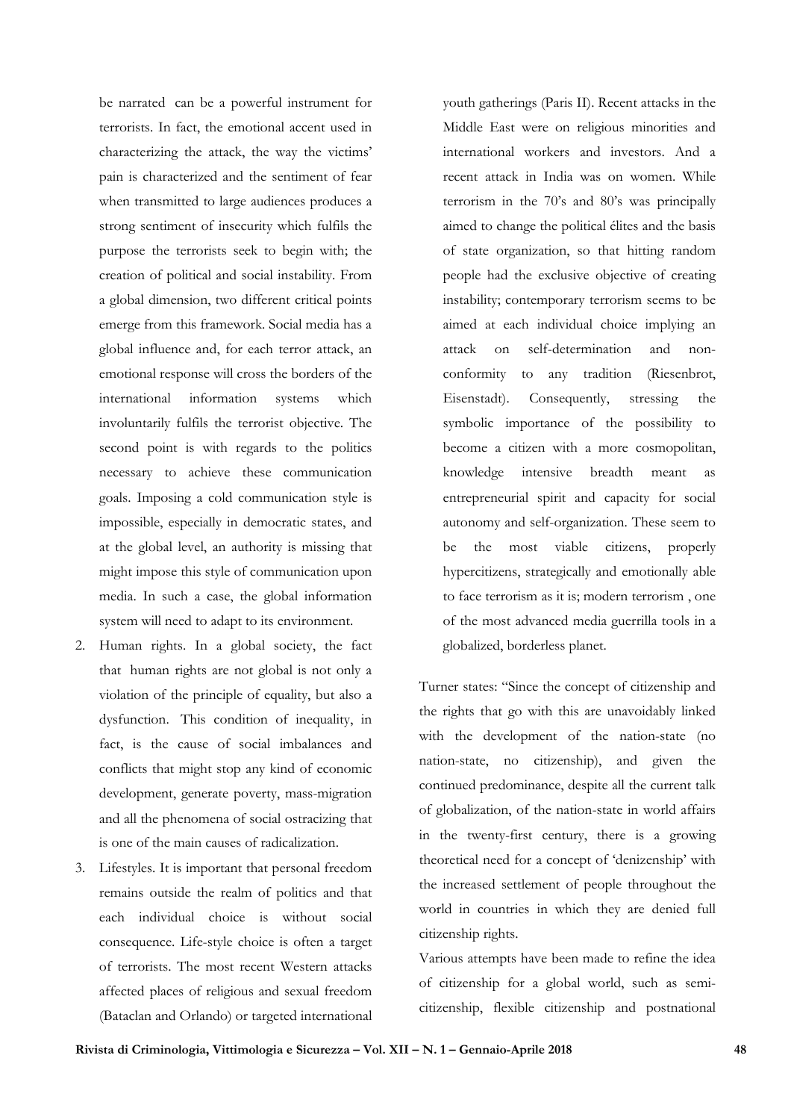be narrated can be a powerful instrument for terrorists. In fact, the emotional accent used in characterizing the attack, the way the victims' pain is characterized and the sentiment of fear when transmitted to large audiences produces a strong sentiment of insecurity which fulfils the purpose the terrorists seek to begin with; the creation of political and social instability. From a global dimension, two different critical points emerge from this framework. Social media has a global influence and, for each terror attack, an emotional response will cross the borders of the international information systems which involuntarily fulfils the terrorist objective. The second point is with regards to the politics necessary to achieve these communication goals. Imposing a cold communication style is impossible, especially in democratic states, and at the global level, an authority is missing that might impose this style of communication upon media. In such a case, the global information system will need to adapt to its environment.

- 2. Human rights. In a global society, the fact that human rights are not global is not only a violation of the principle of equality, but also a dysfunction. This condition of inequality, in fact, is the cause of social imbalances and conflicts that might stop any kind of economic development, generate poverty, mass-migration and all the phenomena of social ostracizing that is one of the main causes of radicalization.
- 3. Lifestyles. It is important that personal freedom remains outside the realm of politics and that each individual choice is without social consequence. Life-style choice is often a target of terrorists. The most recent Western attacks affected places of religious and sexual freedom (Bataclan and Orlando) or targeted international

youth gatherings (Paris II). Recent attacks in the Middle East were on religious minorities and international workers and investors. And a recent attack in India was on women. While terrorism in the 70's and 80's was principally aimed to change the political élites and the basis of state organization, so that hitting random people had the exclusive objective of creating instability; contemporary terrorism seems to be aimed at each individual choice implying an attack on self-determination and nonconformity to any tradition (Riesenbrot, Eisenstadt). Consequently, stressing the symbolic importance of the possibility to become a citizen with a more cosmopolitan, knowledge intensive breadth meant as entrepreneurial spirit and capacity for social autonomy and self-organization. These seem to be the most viable citizens, properly hypercitizens, strategically and emotionally able to face terrorism as it is; modern terrorism , one of the most advanced media guerrilla tools in a globalized, borderless planet.

Turner states: "Since the concept of citizenship and the rights that go with this are unavoidably linked with the development of the nation-state (no nation-state, no citizenship), and given the continued predominance, despite all the current talk of globalization, of the nation-state in world affairs in the twenty-first century, there is a growing theoretical need for a concept of 'denizenship' with the increased settlement of people throughout the world in countries in which they are denied full citizenship rights.

Various attempts have been made to refine the idea of citizenship for a global world, such as semicitizenship, flexible citizenship and postnational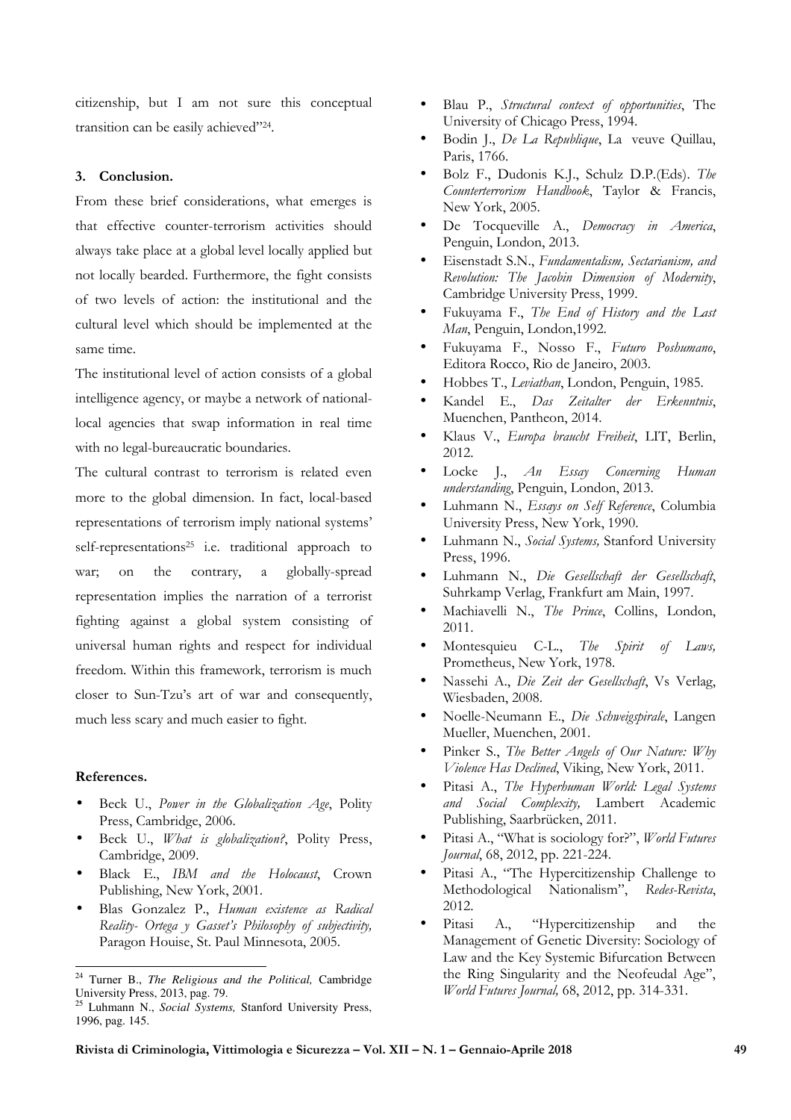citizenship, but I am not sure this conceptual transition can be easily achieved"<sup>24</sup> .

## **3. Conclusion.**

From these brief considerations, what emerges is that effective counter-terrorism activities should always take place at a global level locally applied but not locally bearded. Furthermore, the fight consists of two levels of action: the institutional and the cultural level which should be implemented at the same time.

The institutional level of action consists of a global intelligence agency, or maybe a network of nationallocal agencies that swap information in real time with no legal-bureaucratic boundaries.

The cultural contrast to terrorism is related even more to the global dimension. In fact, local-based representations of terrorism imply national systems' self-representations<sup>25</sup> i.e. traditional approach to war; on the contrary, a globally-spread representation implies the narration of a terrorist fighting against a global system consisting of universal human rights and respect for individual freedom. Within this framework, terrorism is much closer to Sun-Tzu's art of war and consequently, much less scary and much easier to fight.

## **References.**

 $\overline{a}$ 

- Beck U., *Power in the Globalization Age*, Polity Press, Cambridge, 2006.
- Beck U., *What is globalization?*, Polity Press, Cambridge, 2009.
- Black E., *IBM and the Holocaust*, Crown Publishing, New York, 2001.
- Blas Gonzalez P., *Human existence as Radical Reality- Ortega y Gasset's Philosophy of subjectivity,* Paragon Houise, St. Paul Minnesota, 2005.
- Blau P., *Structural context of opportunities*, The University of Chicago Press, 1994.
- Bodin J., *De La Republique*, La veuve Quillau, Paris, 1766.
- Bolz F., Dudonis K.J., Schulz D.P.(Eds). *The Counterterrorism Handbook*, Taylor & Francis, New York, 2005.
- De Tocqueville A., *Democracy in America*, Penguin, London, 2013.
- Eisenstadt S.N., *Fundamentalism, Sectarianism, and Revolution: The Jacobin Dimension of Modernity*, Cambridge University Press, 1999.
- Fukuyama F., *The End of History and the Last Man*, Penguin, London,1992.
- Fukuyama F., Nosso F., *Futuro Poshumano*, Editora Rocco, Rio de Janeiro, 2003.
- Hobbes T., *Leviathan*, London, Penguin, 1985.
- Kandel E., *Das Zeitalter der Erkenntnis*, Muenchen, Pantheon, 2014.
- Klaus V., *Europa braucht Freiheit*, LIT, Berlin, 2012.
- Locke J., *An Essay Concerning Human understanding*, Penguin, London, 2013.
- Luhmann N., *Essays on Self Reference*, Columbia University Press, New York, 1990.
- Luhmann N., *Social Systems,* Stanford University Press, 1996.
- Luhmann N., *Die Gesellschaft der Gesellschaft*, Suhrkamp Verlag, Frankfurt am Main, 1997.
- Machiavelli N., *The Prince*, Collins, London, 2011.
- Montesquieu C-L., *The Spirit of Laws,*  Prometheus, New York, 1978.
- Nassehi A., *Die Zeit der Gesellschaft*, Vs Verlag, Wiesbaden, 2008.
- Noelle-Neumann E., *Die Schweigspirale*, Langen Mueller, Muenchen, 2001.
- Pinker S., *The Better Angels of Our Nature: Why Violence Has Declined*, Viking, New York, 2011.
- Pitasi A., *The Hyperhuman World: Legal Systems and Social Complexity,* Lambert Academic Publishing, Saarbrücken, 2011.
- Pitasi A., "What is sociology for?", *World Futures Journal*, 68, 2012, pp. 221-224.
- Pitasi A., "The Hypercitizenship Challenge to Methodological Nationalism", *Redes-Revista*, 2012.
- Pitasi A., "Hypercitizenship and the Management of Genetic Diversity: Sociology of Law and the Key Systemic Bifurcation Between the Ring Singularity and the Neofeudal Age", *World Futures Journal,* 68, 2012, pp. 314-331.

<sup>24</sup> Turner B., *The Religious and the Political,* Cambridge University Press, 2013, pag. 79.

<sup>25</sup> Luhmann N., *Social Systems,* Stanford University Press, 1996, pag. 145.